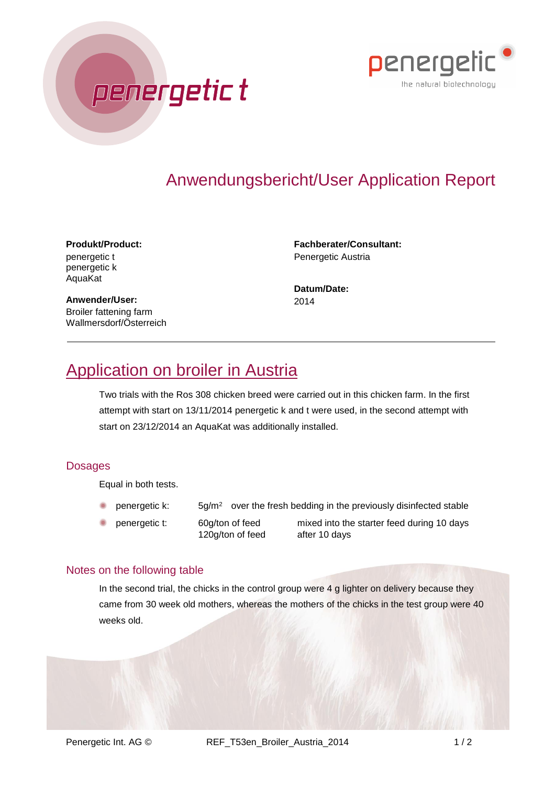



#### **Produkt/Product:** penergetic t penergetic k AquaKat

**Fachberater/Consultant:** Penergetic Austria

**Datum/Date:** 2014

**Anwender/User:** Broiler fattening farm Wallmersdorf/Österreich

# Application on broiler in Austria

penergetic t

Two trials with the Ros 308 chicken breed were carried out in this chicken farm. In the first attempt with start on 13/11/2014 penergetic k and t were used, in the second attempt with start on 23/12/2014 an AquaKat was additionally installed.

### **Dosages**

Equal in both tests.

- penergetic k:  $5g/m^2$  over the fresh bedding in the previously disinfected stable
- penergetic t: 60g/ton of feed mixed into the starter feed during 10 days 120g/ton of feed after 10 days

#### Notes on the following table

In the second trial, the chicks in the control group were 4 g lighter on delivery because they came from 30 week old mothers, whereas the mothers of the chicks in the test group were 40 weeks old.